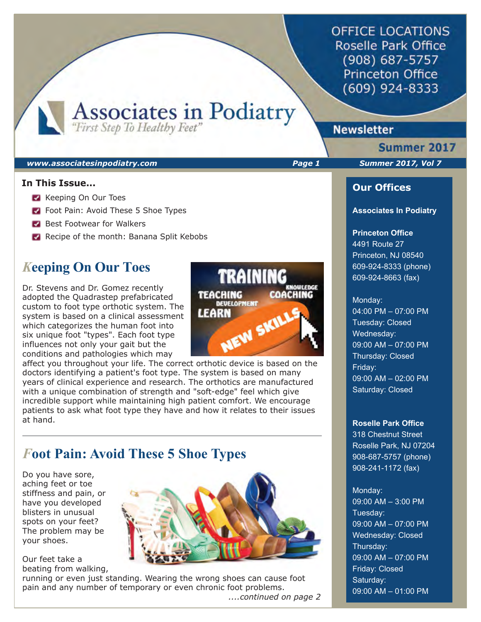**OFFICE LOCATIONS** Roselle Park Office (908) 687-5757 **Princeton Office** (609) 924-8333

Associates in Podiatry

## **Newsletter**

#### *www.associatesinpodiatry.com Page 1 Summer 2017, Vol 7*

### **In This Issue...**

- **Keeping On Our Toes**
- **Foot Pain: Avoid These 5 Shoe Types**
- Best Footwear for Walkers
- Recipe of the month: Banana Split Kebobs

# *K***eeping On Our Toes**

Dr. Stevens and Dr. Gomez recently adopted the Quadrastep prefabricated custom to foot type orthotic system. The system is based on a clinical assessment which categorizes the human foot into six unique foot "types". Each foot type influences not only your gait but the conditions and pathologies which may

affect you throughout your life. The correct orthotic device is based on the doctors identifying a patient's foot type. The system is based on many years of clinical experience and research. The orthotics are manufactured with a unique combination of strength and "soft-edge" feel which give incredible support while maintaining high patient comfort. We encourage patients to ask what foot type they have and how it relates to their issues at hand.

# *F***oot Pain: Avoid These 5 Shoe Types**

Do you have sore, aching feet or toe stiffness and pain, or have you developed blisters in unusual spots on your feet? The problem may be your shoes.

Our feet take a beating from walking,



**TRAINING** 

NEW SKILL

**COACHING** 

**TEACHING** 

LEARN

**DEVELOPMENT** 

running or even just standing. Wearing the wrong shoes can cause foot pain and any number of temporary or even chronic foot problems.

*....continued on page 2*

Summer 2017

ı

### **Our Offices**

#### **Associates In Podiatry**

### **Princeton Office**

4491 Route 27 Princeton, NJ 08540 609-924-8333 (phone) 609-924-8663 (fax)

#### Monday:

04:00 PM – 07:00 PM Tuesday: Closed Wednesday: 09:00 AM – 07:00 PM Thursday: Closed Friday: 09:00 AM – 02:00 PM Saturday: Closed

#### **Roselle Park Office**

318 Chestnut Street Roselle Park, NJ 07204 908-687-5757 (phone) 908-241-1172 (fax)

### Monday:

09:00 AM – 3:00 PM Tuesday: 09:00 AM – 07:00 PM Wednesday: Closed Thursday: 09:00 AM – 07:00 PM Friday: Closed Saturday: 09:00 AM – 01:00 PM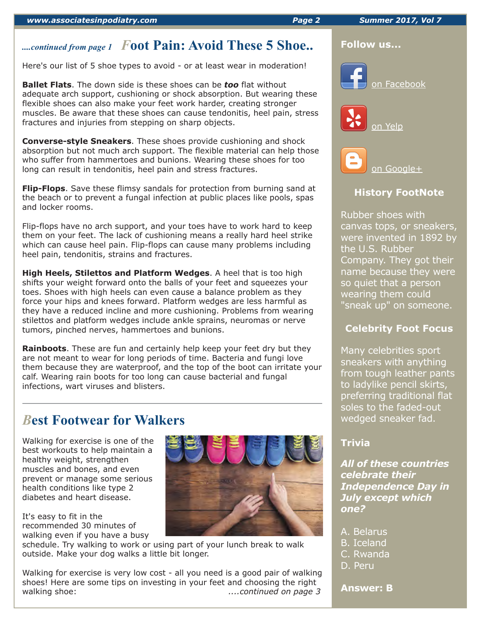# *....continued from page 1 F***oot Pain: Avoid These 5 Shoe..**

Here's our list of 5 shoe types to avoid - or at least wear in moderation!

**Ballet Flats**. The down side is these shoes can be *too* flat without adequate arch support, cushioning or shock absorption. But wearing these flexible shoes can also make your feet work harder, creating stronger muscles. Be aware that these shoes can cause tendonitis, heel pain, stress fractures and injuries from stepping on sharp objects.

**Converse-style Sneakers**. These shoes provide cushioning and shock absorption but not much arch support. The flexible material can help those who suffer from hammertoes and bunions. Wearing these shoes for too long can result in tendonitis, heel pain and stress fractures.

**Flip-Flops**. Save these flimsy sandals for protection from burning sand at the beach or to prevent a fungal infection at public places like pools, spas and locker rooms.

Flip-flops have no arch support, and your toes have to work hard to keep them on your feet. The lack of cushioning means a really hard heel strike which can cause heel pain. Flip-flops can cause many problems including heel pain, tendonitis, strains and fractures.

**High Heels, Stilettos and Platform Wedges**. A heel that is too high shifts your weight forward onto the balls of your feet and squeezes your toes. Shoes with high heels can even cause a balance problem as they force your hips and knees forward. Platform wedges are less harmful as they have a reduced incline and more cushioning. Problems from wearing stilettos and platform wedges include ankle sprains, neuromas or nerve tumors, pinched nerves, hammertoes and bunions.

**Rainboots**. These are fun and certainly help keep your feet dry but they are not meant to wear for long periods of time. Bacteria and fungi love them because they are waterproof, and the top of the boot can irritate your calf. Wearing rain boots for too long can cause bacterial and fungal infections, wart viruses and blisters.

# *B***est Footwear for Walkers**

Walking for exercise is one of the best workouts to help maintain a healthy weight, strengthen muscles and bones, and even prevent or manage some serious health conditions like type 2 diabetes and heart disease.

It's easy to fit in the recommended 30 minutes of walking even if you have a busy



schedule. Try walking to work or using part of your lunch break to walk outside. Make your dog walks a little bit longer.

Walking for exercise is very low cost - all you need is a good pair of walking shoes! Here are some tips on investing in your feet and choosing the right walking shoe: *....continued on page 3*



### **Follow us...**







### **History FootNote**

Rubber shoes with canvas tops, or sneakers, were invented in 1892 by the U.S. Rubber Company. They got their name because they were so quiet that a person wearing them could "sneak up" on someone.

### **Celebrity Foot Focus**

Many celebrities sport sneakers with anything from tough leather pants to ladylike pencil skirts, preferring traditional flat soles to the faded-out wedged sneaker fad.

### **Trivia**

*All of these countries celebrate their Independence Day in July except which one?*

- A. Belarus
- B. Iceland
- C. Rwanda
- D. Peru

### **Answer: B**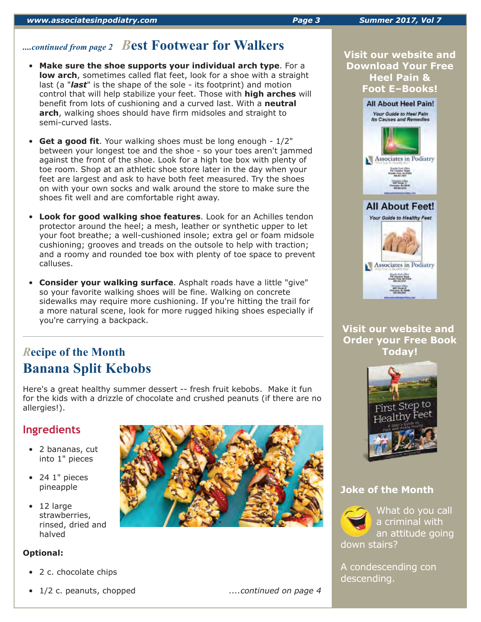# *....continued from page 2 B***est Footwear for Walkers**

- **Make sure the shoe supports your individual arch type**. For a **low arch**, sometimes called flat feet, look for a shoe with a straight last (a "*last*" is the shape of the sole - its footprint) and motion control that will help stabilize your feet. Those with **high arches** will benefit from lots of cushioning and a curved last. With a **neutral arch**, walking shoes should have firm midsoles and straight to semi-curved lasts.
- **Get a good fit**. Your walking shoes must be long enough 1/2" between your longest toe and the shoe - so your toes aren't jammed against the front of the shoe. Look for a high toe box with plenty of toe room. Shop at an athletic shoe store later in the day when your feet are largest and ask to have both feet measured. Try the shoes on with your own socks and walk around the store to make sure the shoes fit well and are comfortable right away.
- **Look for good walking shoe features**. Look for an Achilles tendon protector around the heel; a mesh, leather or synthetic upper to let your foot breathe; a well-cushioned insole; extra gel or foam midsole cushioning; grooves and treads on the outsole to help with traction; and a roomy and rounded toe box with plenty of toe space to prevent calluses.
- **Consider your walking surface**. Asphalt roads have a little "give" so your favorite walking shoes will be fine. Walking on concrete sidewalks may require more cushioning. If you're hitting the trail for a more natural scene, look for more rugged hiking shoes especially if you're carrying a backpack.

# *R***ecipe of the Month Banana Split Kebobs**

Here's a great healthy summer dessert -- fresh fruit kebobs. Make it fun for the kids with a drizzle of chocolate and crushed peanuts (if there are no allergies!).

# **Ingredients**

- 2 bananas, cut into 1" pieces
- 24 1" pieces pineapple
- 12 large strawberries, rinsed, dried and halved

### **Optional:**

- 2 c. chocolate chips
- 1/2 c. peanuts, chopped *....continued on page 4*



**Visit our website and Download Your Free Heel Pain & Foot E–Books!**



**Visit our website and Order your Free Book Today!**



### **Joke of the Month**



A condescending con descending.